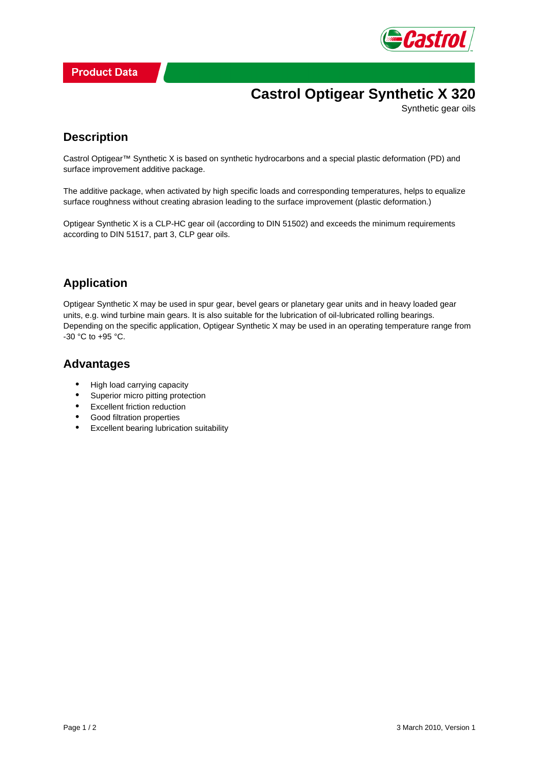

# **Castrol Optigear Synthetic X 320**

Synthetic gear oils

### **Description**

Castrol Optigear™ Synthetic X is based on synthetic hydrocarbons and a special plastic deformation (PD) and surface improvement additive package.

The additive package, when activated by high specific loads and corresponding temperatures, helps to equalize surface roughness without creating abrasion leading to the surface improvement (plastic deformation.)

Optigear Synthetic X is a CLP-HC gear oil (according to DIN 51502) and exceeds the minimum requirements according to DIN 51517, part 3, CLP gear oils.

## **Application**

Optigear Synthetic X may be used in spur gear, bevel gears or planetary gear units and in heavy loaded gear units, e.g. wind turbine main gears. It is also suitable for the lubrication of oil-lubricated rolling bearings. Depending on the specific application, Optigear Synthetic X may be used in an operating temperature range from -30 °C to +95 °C.

#### **Advantages**

- High load carrying capacity
- Superior micro pitting protection
- Excellent friction reduction
- Good filtration properties
- Excellent bearing lubrication suitability